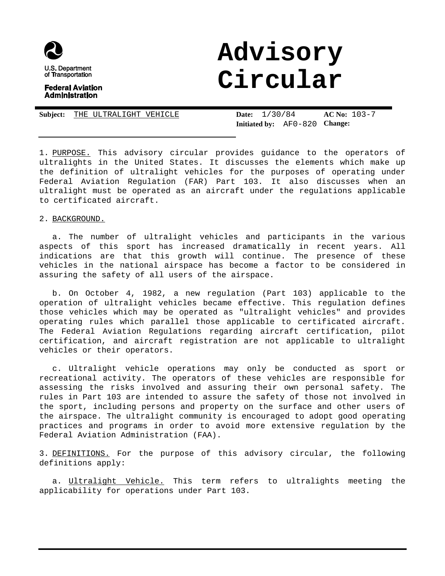

## **Federal Aviation Administration**

# **Advisory Circular**

| Subject: THE ULTRALIGHT VEHICLE |  | <b>Date:</b> $1/30/84$ |                                               | $AC No: 103-7$ |  |
|---------------------------------|--|------------------------|-----------------------------------------------|----------------|--|
|                                 |  |                        | <b>Initiated by:</b> $AF0-820$ <b>Change:</b> |                |  |

1. PURPOSE. This advisory circular provides guidance to the operators of ultralights in the United States. It discusses the elements which make up the definition of ultralight vehicles for the purposes of operating under Federal Aviation Regulation (FAR) Part 103. It also discusses when an ultralight must be operated as an aircraft under the regulations applicable to certificated aircraft.

2. BACKGROUND.

a. The number of ultralight vehicles and participants in the various aspects of this sport has increased dramatically in recent years. All indications are that this growth will continue. The presence of these vehicles in the national airspace has become a factor to be considered in assuring the safety of all users of the airspace.

b. On October 4, 1982, a new regulation (Part 103) applicable to the operation of ultralight vehicles became effective. This regulation defines those vehicles which may be operated as "ultralight vehicles" and provides operating rules which parallel those applicable to certificated aircraft. The Federal Aviation Regulations regarding aircraft certification, pilot certification, and aircraft registration are not applicable to ultralight vehicles or their operators.

c. Ultralight vehicle operations may only be conducted as sport or recreational activity. The operators of these vehicles are responsible for assessing the risks involved and assuring their own personal safety. The rules in Part 103 are intended to assure the safety of those not involved in the sport, including persons and property on the surface and other users of the airspace. The ultralight community is encouraged to adopt good operating practices and programs in order to avoid more extensive regulation by the Federal Aviation Administration (FAA).

3. DEFINITIONS. For the purpose of this advisory circular, the following definitions apply:

a. Ultralight Vehicle. This term refers to ultralights meeting the applicability for operations under Part 103.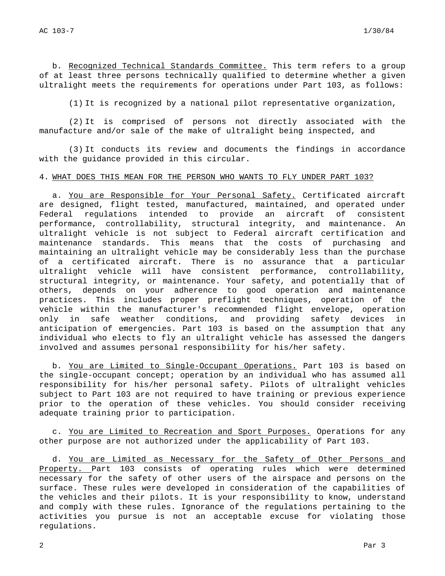b. Recognized Technical Standards Committee. This term refers to a group of at least three persons technically qualified to determine whether a given ultralight meets the requirements for operations under Part 103, as follows:

(1) It is recognized by a national pilot representative organization,

(2) It is comprised of persons not directly associated with the manufacture and/or sale of the make of ultralight being inspected, and

(3) It conducts its review and documents the findings in accordance with the guidance provided in this circular.

## 4. WHAT DOES THIS MEAN FOR THE PERSON WHO WANTS TO FLY UNDER PART 103?

a. You are Responsible for Your Personal Safety. Certificated aircraft are designed, flight tested, manufactured, maintained, and operated under Federal regulations intended to provide an aircraft of consistent performance, controllability, structural integrity, and maintenance. An ultralight vehicle is not subject to Federal aircraft certification and maintenance standards. This means that the costs of purchasing and maintaining an ultralight vehicle may be considerably less than the purchase of a certificated aircraft. There is no assurance that a particular ultralight vehicle will have consistent performance, controllability, structural integrity, or maintenance. Your safety, and potentially that of others, depends on your adherence to good operation and maintenance practices. This includes proper preflight techniques, operation of the vehicle within the manufacturer's recommended flight envelope, operation only in safe weather conditions, and providing safety devices in anticipation of emergencies. Part 103 is based on the assumption that any individual who elects to fly an ultralight vehicle has assessed the dangers involved and assumes personal responsibility for his/her safety.

b. You are Limited to Single-Occupant Operations. Part 103 is based on the single-occupant concept; operation by an individual who has assumed all responsibility for his/her personal safety. Pilots of ultralight vehicles subject to Part 103 are not required to have training or previous experience prior to the operation of these vehicles. You should consider receiving adequate training prior to participation.

c. You are Limited to Recreation and Sport Purposes. Operations for any other purpose are not authorized under the applicability of Part 103.

d. You are Limited as Necessary for the Safety of Other Persons and Property. Part 103 consists of operating rules which were determined necessary for the safety of other users of the airspace and persons on the surface. These rules were developed in consideration of the capabilities of the vehicles and their pilots. It is your responsibility to know, understand and comply with these rules. Ignorance of the regulations pertaining to the activities you pursue is not an acceptable excuse for violating those regulations.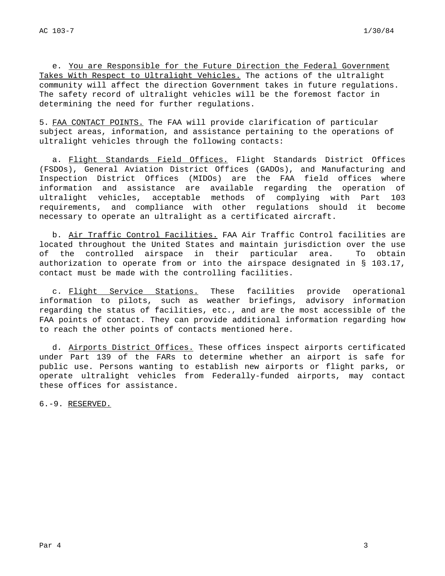e. You are Responsible for the Future Direction the Federal Government Takes With Respect to Ultralight Vehicles. The actions of the ultralight community will affect the direction Government takes in future regulations. The safety record of ultralight vehicles will be the foremost factor in determining the need for further regulations.

5. FAA CONTACT POINTS. The FAA will provide clarification of particular subject areas, information, and assistance pertaining to the operations of ultralight vehicles through the following contacts:

a. Flight Standards Field Offices. Flight Standards District Offices (FSDOs), General Aviation District Offices (GADOs), and Manufacturing and Inspection District Offices (MIDOs) are the FAA field offices where information and assistance are available regarding the operation of ultralight vehicles, acceptable methods of complying with Part 103 requirements, and compliance with other regulations should it become necessary to operate an ultralight as a certificated aircraft.

b. Air Traffic Control Facilities. FAA Air Traffic Control facilities are located throughout the United States and maintain jurisdiction over the use of the controlled airspace in their particular area. To obtain authorization to operate from or into the airspace designated in § 103.17, contact must be made with the controlling facilities.

c. Flight Service Stations. These facilities provide operational information to pilots, such as weather briefings, advisory information regarding the status of facilities, etc., and are the most accessible of the FAA points of contact. They can provide additional information regarding how to reach the other points of contacts mentioned here.

d. Airports District Offices. These offices inspect airports certificated under Part 139 of the FARs to determine whether an airport is safe for public use. Persons wanting to establish new airports or flight parks, or operate ultralight vehicles from Federally-funded airports, may contact these offices for assistance.

6.-9. RESERVED.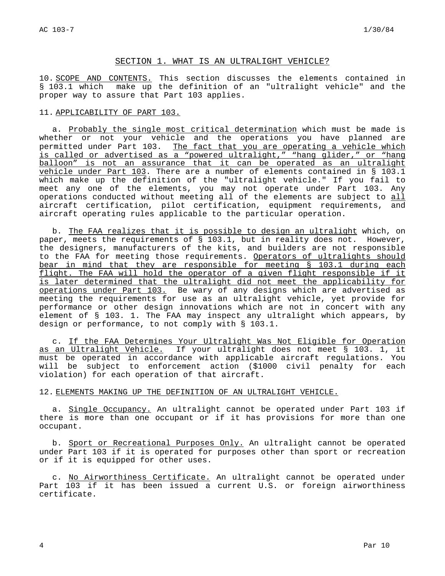## SECTION 1. WHAT IS AN ULTRALIGHT VEHICLE?

10. SCOPE AND CONTENTS. This section discusses the elements contained in § 103.1 which make up the definition of an "ultralight vehicle" and the proper way to assure that Part 103 applies.

### 11. APPLICABILITY OF PART 103.

a. Probably the single most critical determination which must be made is whether or not your vehicle and the operations you have planned are permitted under Part 103. The fact that you are operating a vehicle which is called or advertised as a "powered ultralight," "hang glider," or "hang balloon" is not an assurance that it can be operated as an ultralight vehicle under Part 103. There are a number of elements contained in § 103.1 which make up the definition of the "ultralight vehicle." If you fail to meet any one of the elements, you may not operate under Part 103. Any operations conducted without meeting all of the elements are subject to all aircraft certification, pilot certification, equipment requirements, and aircraft operating rules applicable to the particular operation.

b. The FAA realizes that it is possible to design an ultralight which, on paper, meets the requirements of § 103.1, but in reality does not. However, the designers, manufacturers of the kits, and builders are not responsible to the FAA for meeting those requirements. Operators of ultralights should bear in mind that they are responsible for meeting § 103.1 during each flight. The FAA will hold the operator of a given flight responsible if it is later determined that the ultralight did not meet the applicability for operations under Part 103. Be wary of any designs which are advertised as meeting the requirements for use as an ultralight vehicle, yet provide for performance or other design innovations which are not in concert with any element of § 103. 1. The FAA may inspect any ultralight which appears, by design or performance, to not comply with § 103.1.

c. If the FAA Determines Your Ultralight Was Not Eligible for Operation as an Ultralight Vehicle. If your ultralight does not meet § 103. 1, it must be operated in accordance with applicable aircraft regulations. You will be subject to enforcement action (\$1000 civil penalty for each violation) for each operation of that aircraft.

## 12. ELEMENTS MAKING UP THE DEFINITION OF AN ULTRALIGHT VEHICLE.

a. Single Occupancy. An ultralight cannot be operated under Part 103 if there is more than one occupant or if it has provisions for more than one occupant.

b. Sport or Recreational Purposes Only. An ultralight cannot be operated under Part 103 if it is operated for purposes other than sport or recreation or if it is equipped for other uses.

c. No Airworthiness Certificate. An ultralight cannot be operated under Part 103 if it has been issued a current U.S. or foreign airworthiness certificate.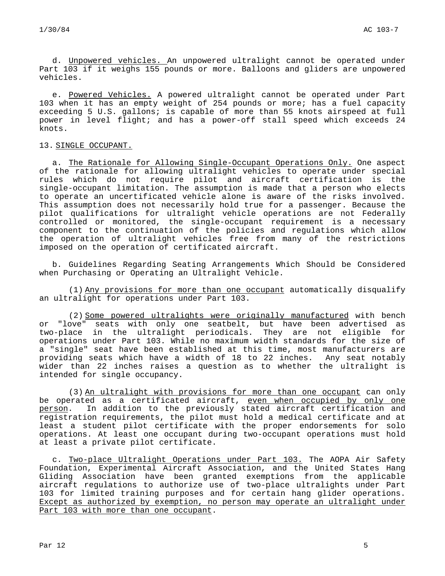d. Unpowered vehicles. An unpowered ultralight cannot be operated under Part 103 if it weighs 155 pounds or more. Balloons and gliders are unpowered vehicles.

e. Powered Vehicles. A powered ultralight cannot be operated under Part 103 when it has an empty weight of 254 pounds or more; has a fuel capacity exceeding 5 U.S. gallons; is capable of more than 55 knots airspeed at full power in level flight; and has a power-off stall speed which exceeds 24 knots.

## 13. SINGLE OCCUPANT.

a. The Rationale for Allowing Single-Occupant Operations Only. One aspect of the rationale for allowing ultralight vehicles to operate under special rules which do not require pilot and aircraft certification is the single-occupant limitation. The assumption is made that a person who elects to operate an uncertificated vehicle alone is aware of the risks involved. This assumption does not necessarily hold true for a passenger. Because the pilot qualifications for ultralight vehicle operations are not Federally controlled or monitored, the single-occupant requirement is a necessary component to the continuation of the policies and regulations which allow the operation of ultralight vehicles free from many of the restrictions imposed on the operation of certificated aircraft.

b. Guidelines Regarding Seating Arrangements Which Should be Considered when Purchasing or Operating an Ultralight Vehicle.

(1) Any provisions for more than one occupant automatically disqualify an ultralight for operations under Part 103.

(2) Some powered ultralights were originally manufactured with bench or "love" seats with only one seatbelt, but have been advertised as two-place in the ultralight periodicals. They are not eligible for operations under Part 103. While no maximum width standards for the size of a "single" seat have been established at this time, most manufacturers are providing seats which have a width of 18 to 22 inches. Any seat notably wider than 22 inches raises a question as to whether the ultralight is intended for single occupancy.

(3) An ultralight with provisions for more than one occupant can only be operated as a certificated aircraft, even when occupied by only one person. In addition to the previously stated aircraft certification and registration requirements, the pilot must hold a medical certificate and at least a student pilot certificate with the proper endorsements for solo operations. At least one occupant during two-occupant operations must hold at least a private pilot certificate.

c. Two-place Ultralight Operations under Part 103. The AOPA Air Safety Foundation, Experimental Aircraft Association, and the United States Hang Gliding Association have been granted exemptions from the applicable aircraft regulations to authorize use of two-place ultralights under Part 103 for limited training purposes and for certain hang glider operations. Except as authorized by exemption, no person may operate an ultralight under Part 103 with more than one occupant.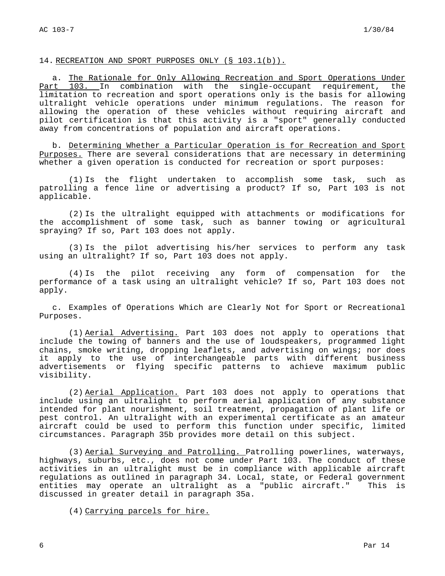## 14. RECREATION AND SPORT PURPOSES ONLY (§ 103.1(b)).

a. The Rationale for Only Allowing Recreation and Sport Operations Under Part 103. In combination with the single-occupant requirement, the limitation to recreation and sport operations only is the basis for allowing ultralight vehicle operations under minimum regulations. The reason for allowing the operation of these vehicles without requiring aircraft and pilot certification is that this activity is a "sport" generally conducted away from concentrations of population and aircraft operations.

b. Determining Whether a Particular Operation is for Recreation and Sport Purposes. There are several considerations that are necessary in determining whether a given operation is conducted for recreation or sport purposes:

(1) Is the flight undertaken to accomplish some task, such as patrolling a fence line or advertising a product? If so, Part 103 is not applicable.

(2) Is the ultralight equipped with attachments or modifications for the accomplishment of some task, such as banner towing or agricultural spraying? If so, Part 103 does not apply.

(3) Is the pilot advertising his/her services to perform any task using an ultralight? If so, Part 103 does not apply.

(4) Is the pilot receiving any form of compensation for the performance of a task using an ultralight vehicle? If so, Part 103 does not apply.

c. Examples of Operations Which are Clearly Not for Sport or Recreational Purposes.

(1) Aerial Advertising. Part 103 does not apply to operations that include the towing of banners and the use of loudspeakers, programmed light chains, smoke writing, dropping leaflets, and advertising on wings; nor does it apply to the use of interchangeable parts with different business advertisements or flying specific patterns to achieve maximum public visibility.

(2) Aerial Application. Part 103 does not apply to operations that include using an ultralight to perform aerial application of any substance intended for plant nourishment, soil treatment, propagation of plant life or pest control. An ultralight with an experimental certificate as an amateur aircraft could be used to perform this function under specific, limited circumstances. Paragraph 35b provides more detail on this subject.

(3) Aerial Surveying and Patrolling. Patrolling powerlines, waterways, highways, suburbs, etc., does not come under Part 103. The conduct of these activities in an ultralight must be in compliance with applicable aircraft regulations as outlined in paragraph 34. Local, state, or Federal government entities may operate an ultralight as a "public aircraft." This is discussed in greater detail in paragraph 35a.

(4) Carrying parcels for hire.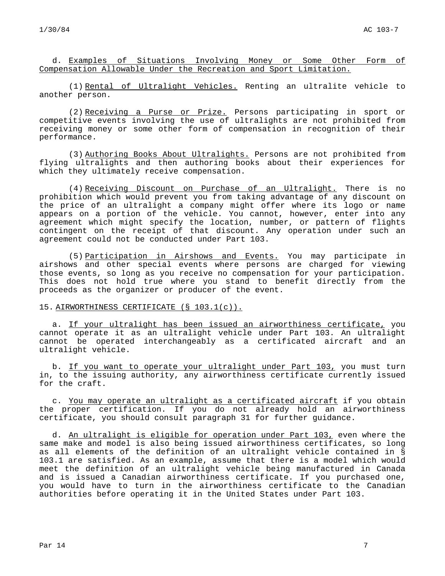d. Examples of Situations Involving Money or Some Other Form of Compensation Allowable Under the Recreation and Sport Limitation.

(1) Rental of Ultralight Vehicles. Renting an ultralite vehicle to another person.

(2) Receiving a Purse or Prize. Persons participating in sport or competitive events involving the use of ultralights are not prohibited from receiving money or some other form of compensation in recognition of their performance.

(3) Authoring Books About Ultralights. Persons are not prohibited from flying ultralights and then authoring books about their experiences for which they ultimately receive compensation.

(4) Receiving Discount on Purchase of an Ultralight. There is no prohibition which would prevent you from taking advantage of any discount on the price of an ultralight a company might offer where its logo or name appears on a portion of the vehicle. You cannot, however, enter into any agreement which might specify the location, number, or pattern of flights contingent on the receipt of that discount. Any operation under such an agreement could not be conducted under Part 103.

(5) Participation in Airshows and Events. You may participate in airshows and other special events where persons are charged for viewing those events, so long as you receive no compensation for your participation. This does not hold true where you stand to benefit directly from the proceeds as the organizer or producer of the event.

## 15. AIRWORTHINESS CERTIFICATE (§ 103.1(c)).

a. If your ultralight has been issued an airworthiness certificate, you cannot operate it as an ultralight vehicle under Part 103. An ultralight cannot be operated interchangeably as a certificated aircraft and an ultralight vehicle.

b. If you want to operate your ultralight under Part 103, you must turn in, to the issuing authority, any airworthiness certificate currently issued for the craft.

c. You may operate an ultralight as a certificated aircraft if you obtain the proper certification. If you do not already hold an airworthiness certificate, you should consult paragraph 31 for further guidance.

d. An ultralight is eligible for operation under Part 103, even where the same make and model is also being issued airworthiness certificates, so long as all elements of the definition of an ultralight vehicle contained in § 103.1 are satisfied. As an example, assume that there is a model which would meet the definition of an ultralight vehicle being manufactured in Canada and is issued a Canadian airworthiness certificate. If you purchased one, you would have to turn in the airworthiness certificate to the Canadian authorities before operating it in the United States under Part 103.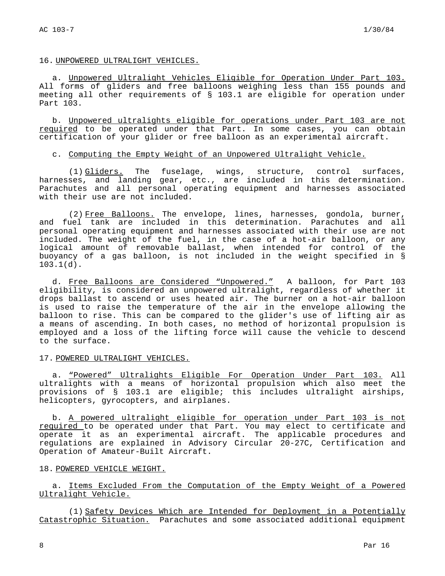### 16. UNPOWERED ULTRALIGHT VEHICLES.

a. Unpowered Ultralight Vehicles Eligible for Operation Under Part 103. All forms of gliders and free balloons weighing less than 155 pounds and meeting all other requirements of § 103.1 are eligible for operation under Part 103.

b. Unpowered ultralights eligible for operations under Part 103 are not required to be operated under that Part. In some cases, you can obtain certification of your glider or free balloon as an experimental aircraft.

## c. Computing the Empty Weight of an Unpowered Ultralight Vehicle.

(1) Gliders. The fuselage, wings, structure, control surfaces, harnesses, and landing gear, etc., are included in this determination. Parachutes and all personal operating equipment and harnesses associated with their use are not included.

(2) Free Balloons. The envelope, lines, harnesses, gondola, burner, and fuel tank are included in this determination. Parachutes and all personal operating equipment and harnesses associated with their use are not included. The weight of the fuel, in the case of a hot-air balloon, or any logical amount of removable ballast, when intended for control of the buoyancy of a gas balloon, is not included in the weight specified in § 103.1(d).

d. Free Balloons are Considered "Unpowered." A balloon, for Part 103 eligibility, is considered an unpowered ultralight, regardless of whether it drops ballast to ascend or uses heated air. The burner on a hot-air balloon is used to raise the temperature of the air in the envelope allowing the balloon to rise. This can be compared to the glider's use of lifting air as a means of ascending. In both cases, no method of horizontal propulsion is employed and a loss of the lifting force will cause the vehicle to descend to the surface.

## 17. POWERED ULTRALIGHT VEHICLES.

a. "Powered" Ultralights Eligible For Operation Under Part 103. All ultralights with a means of horizontal propulsion which also meet the provisions of § 103.1 are eligible; this includes ultralight airships, helicopters, gyrocopters, and airplanes.

b. A powered ultralight eligible for operation under Part 103 is not required to be operated under that Part. You may elect to certificate and operate it as an experimental aircraft. The applicable procedures and regulations are explained in Advisory Circular 20-27C, Certification and Operation of Amateur-Built Aircraft.

## 18. POWERED VEHICLE WEIGHT.

a. Items Excluded From the Computation of the Empty Weight of a Powered Ultralight Vehicle.

(1) Safety Devices Which are Intended for Deployment in a Potentially Catastrophic Situation. Parachutes and some associated additional equipment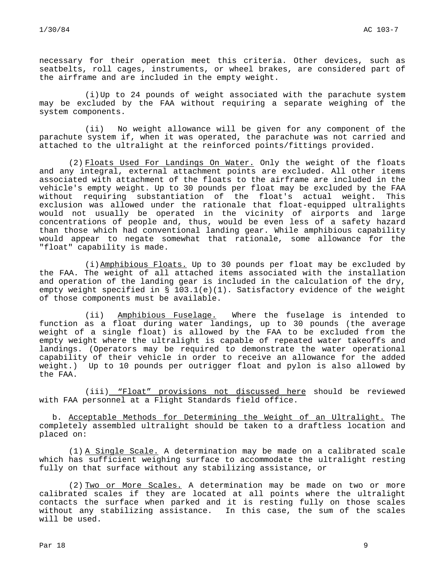necessary for their operation meet this criteria. Other devices, such as seatbelts, roll cages, instruments, or wheel brakes, are considered part of the airframe and are included in the empty weight.

(i)Up to 24 pounds of weight associated with the parachute system may be excluded by the FAA without requiring a separate weighing of the system components.

(ii) No weight allowance will be given for any component of the parachute system if, when it was operated, the parachute was not carried and attached to the ultralight at the reinforced points/fittings provided.

(2) Floats Used For Landings On Water. Only the weight of the floats and any integral, external attachment points are excluded. All other items associated with attachment of the floats to the airframe are included in the vehicle's empty weight. Up to 30 pounds per float may be excluded by the FAA without requiring substantiation of the float's actual weight. This exclusion was allowed under the rationale that float-equipped ultralights would not usually be operated in the vicinity of airports and large concentrations of people and, thus, would be even less of a safety hazard than those which had conventional landing gear. While amphibious capability would appear to negate somewhat that rationale, some allowance for the "float" capability is made.

(i)Amphibious Floats. Up to 30 pounds per float may be excluded by the FAA. The weight of all attached items associated with the installation and operation of the landing gear is included in the calculation of the dry, empty weight specified in  $\S$  103.1(e)(1). Satisfactory evidence of the weight of those components must be available.

(ii) Amphibious Fuselage. Where the fuselage is intended to function as a float during water landings, up to 30 pounds (the average weight of a single float) is allowed by the FAA to be excluded from the empty weight where the ultralight is capable of repeated water takeoffs and landings. (Operators may be required to demonstrate the water operational capability of their vehicle in order to receive an allowance for the added weight.) Up to 10 pounds per outrigger float and pylon is also allowed by the FAA.

(iii) "Float" provisions not discussed here should be reviewed with FAA personnel at a Flight Standards field office.

b. Acceptable Methods for Determining the Weight of an Ultralight. The completely assembled ultralight should be taken to a draftless location and placed on:

(1) A Single Scale. A determination may be made on a calibrated scale which has sufficient weighing surface to accommodate the ultralight resting fully on that surface without any stabilizing assistance, or

(2) Two or More Scales. A determination may be made on two or more calibrated scales if they are located at all points where the ultralight contacts the surface when parked and it is resting fully on those scales without any stabilizing assistance. In this case, the sum of the scales will be used.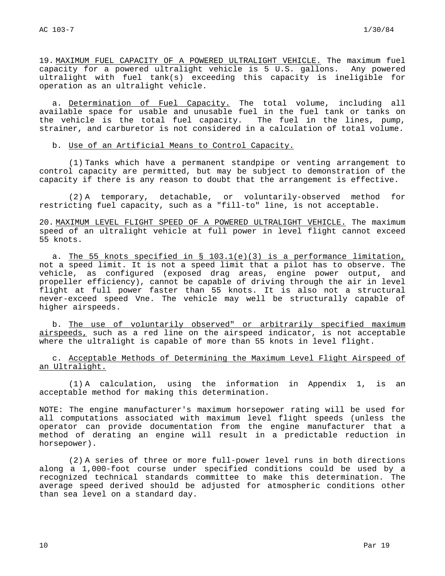19. MAXIMUM FUEL CAPACITY OF A POWERED ULTRALIGHT VEHICLE. The maximum fuel capacity for a powered ultralight vehicle is 5 U.S. gallons. Any powered ultralight with fuel tank(s) exceeding this capacity is ineligible for operation as an ultralight vehicle.

a. <u>Determination of Fuel Capacity.</u> The total volume, including all available space for usable and unusable fuel in the fuel tank or tanks on the vehicle is the total fuel capacity. The fuel in the lines, pump, strainer, and carburetor is not considered in a calculation of total volume.

b. Use of an Artificial Means to Control Capacity.

(1) Tanks which have a permanent standpipe or venting arrangement to control capacity are permitted, but may be subject to demonstration of the capacity if there is any reason to doubt that the arrangement is effective.

(2) A temporary, detachable, or voluntarily-observed method for restricting fuel capacity, such as a "fill-to" line, is not acceptable.

20. MAXIMUM LEVEL FLIGHT SPEED OF A POWERED ULTRALIGHT VEHICLE. The maximum speed of an ultralight vehicle at full power in level flight cannot exceed 55 knots.

a. The 55 knots specified in § 103.1(e)(3) is a performance limitation, not a speed limit. It is not a speed limit that a pilot has to observe. The vehicle, as configured (exposed drag areas, engine power output, and propeller efficiency), cannot be capable of driving through the air in level flight at full power faster than 55 knots. It is also not a structural never-exceed speed Vne. The vehicle may well be structurally capable of higher airspeeds.

b. The use of voluntarily observed" or arbitrarily specified maximum airspeeds, such as a red line on the airspeed indicator, is not acceptable where the ultralight is capable of more than 55 knots in level flight.

c. Acceptable Methods of Determining the Maximum Level Flight Airspeed of an Ultralight.

(1) A calculation, using the information in Appendix 1, is an acceptable method for making this determination.

NOTE: The engine manufacturer's maximum horsepower rating will be used for all computations associated with maximum level flight speeds (unless the operator can provide documentation from the engine manufacturer that a method of derating an engine will result in a predictable reduction in horsepower).

(2) A series of three or more full-power level runs in both directions along a 1,000-foot course under specified conditions could be used by a recognized technical standards committee to make this determination. The average speed derived should be adjusted for atmospheric conditions other than sea level on a standard day.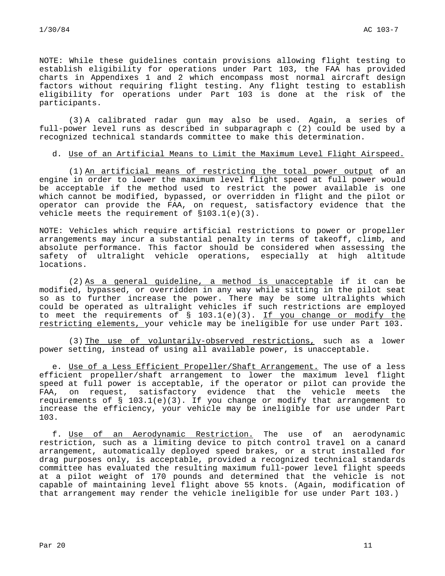NOTE: While these guidelines contain provisions allowing flight testing to establish eligibility for operations under Part 103, the FAA has provided charts in Appendixes 1 and 2 which encompass most normal aircraft design factors without requiring flight testing. Any flight testing to establish eligibility for operations under Part 103 is done at the risk of the participants.

(3) A calibrated radar gun may also be used. Again, a series of full-power level runs as described in subparagraph c (2) could be used by a recognized technical standards committee to make this determination.

## d. Use of an Artificial Means to Limit the Maximum Level Flight Airspeed.

(1) An artificial means of restricting the total power output of an engine in order to lower the maximum level flight speed at full power would be acceptable if the method used to restrict the power available is one which cannot be modified, bypassed, or overridden in flight and the pilot or operator can provide the FAA, on request, satisfactory evidence that the vehicle meets the requirement of §103.1(e)(3).

NOTE: Vehicles which require artificial restrictions to power or propeller arrangements may incur a substantial penalty in terms of takeoff, climb, and absolute performance. This factor should be considered when assessing the safety of ultralight vehicle operations, especially at high altitude locations.

(2) As a general guideline, a method is unacceptable if it can be modified, bypassed, or overridden in any way while sitting in the pilot seat so as to further increase the power. There may be some ultralights which could be operated as ultralight vehicles if such restrictions are employed to meet the requirements of  $\S$  103.1(e)(3). If you change or modify the restricting elements, your vehicle may be ineligible for use under Part 103.

(3) The use of voluntarily-observed restrictions, such as a lower power setting, instead of using all available power, is unacceptable.

e. Use of a Less Efficient Propeller/Shaft Arrangement. The use of a less efficient propeller/shaft arrangement to lower the maximum level flight speed at full power is acceptable, if the operator or pilot can provide the FAA, on request, satisfactory evidence that the vehicle meets the requirements of  $\S$  103.1(e)(3). If you change or modify that arrangement to increase the efficiency, your vehicle may be ineligible for use under Part 103.

f. Use of an Aerodynamic Restriction. The use of an aerodynamic restriction, such as a limiting device to pitch control travel on a canard arrangement, automatically deployed speed brakes, or a strut installed for drag purposes only, is acceptable, provided a recognized technical standards committee has evaluated the resulting maximum full-power level flight speeds at a pilot weight of 170 pounds and determined that the vehicle is not capable of maintaining level flight above 55 knots. (Again, modification of that arrangement may render the vehicle ineligible for use under Part 103.)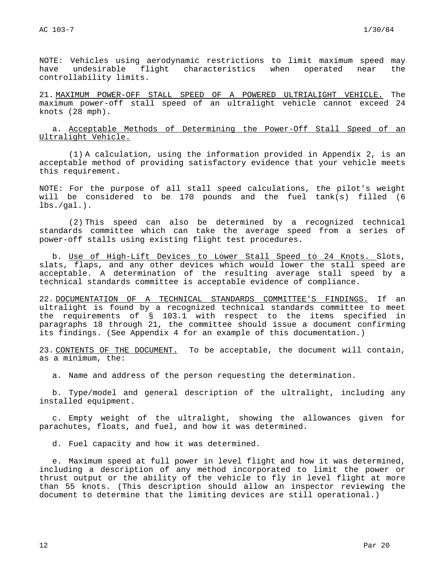NOTE: Vehicles using aerodynamic restrictions to limit maximum speed may have undesirable flight characteristics when operated near the controllability limits.

21. MAXIMUM POWER-OFF STALL SPEED OF A POWERED ULTRIALIGHT VEHICLE. The maximum power-off stall speed of an ultralight vehicle cannot exceed 24 knots (28 mph).

a. Acceptable Methods of Determining the Power-Off Stall Speed of an Ultralight Vehicle.

(1) A calculation, using the information provided in Appendix 2, is an acceptable method of providing satisfactory evidence that your vehicle meets this requirement.

NOTE: For the purpose of all stall speed calculations, the pilot's weight will be considered to be 170 pounds and the fuel tank(s) filled (6  $lbs./gal.$ ).

(2) This speed can also be determined by a recognized technical standards committee which can take the average speed from a series of power-off stalls using existing flight test procedures.

b. Use of High-Lift Devices to Lower Stall Speed to 24 Knots. Slots, slats, flaps, and any other devices which would lower the stall speed are acceptable. A determination of the resulting average stall speed by a technical standards committee is acceptable evidence of compliance.

22. DOCUMENTATION OF A TECHNICAL STANDARDS COMMITTEE'S FINDINGS. If an ultralight is found by a recognized technical standards committee to meet the requirements of § 103.1 with respect to the items specified in paragraphs 18 through 21, the committee should issue a document confirming its findings. (See Appendix 4 for an example of this documentation.)

23. CONTENTS OF THE DOCUMENT. To be acceptable, the document will contain, as a minimum, the:

a. Name and address of the person requesting the determination.

b. Type/model and general description of the ultralight, including any installed equipment.

c. Empty weight of the ultralight, showing the allowances given for parachutes, floats, and fuel, and how it was determined.

d. Fuel capacity and how it was determined.

e. Maximum speed at full power in level flight and how it was determined, including a description of any method incorporated to limit the power or thrust output or the ability of the vehicle to fly in level flight at more than 55 knots. (This description should allow an inspector reviewing the document to determine that the limiting devices are still operational.)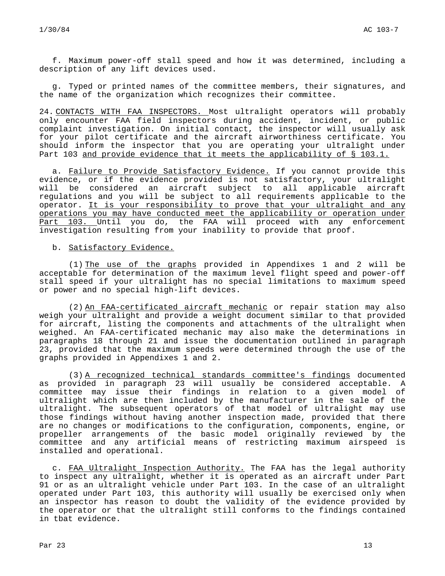f. Maximum power-off stall speed and how it was determined, including a description of any lift devices used.

g. Typed or printed names of the committee members, their signatures, and the name of the organization which recognizes their committee.

24. CONTACTS WITH FAA INSPECTORS. Most ultralight operators will probably only encounter FAA field inspectors during accident, incident, or public complaint investigation. On initial contact, the inspector will usually ask for your pilot certificate and the aircraft airworthiness certificate. You should inform the inspector that you are operating your ultralight under Part 103 and provide evidence that it meets the applicability of § 103.1.

a. Failure to Provide Satisfactory Evidence. If you cannot provide this evidence, or if the evidence provided is not satisfactory, your ultralight will be considered an aircraft subject to all applicable aircraft regulations and you will be subject to all requirements applicable to the operator. It is your responsibility to prove that your ultralight and any operations you may have conducted meet the applicability or operation under Part 103. Until you do, the FAA will proceed with any enforcement investigation resulting from your inability to provide that proof.

### b. Satisfactory Evidence.

(1) The use of the graphs provided in Appendixes 1 and 2 will be acceptable for determination of the maximum level flight speed and power-off stall speed if your ultralight has no special limitations to maximum speed or power and no special high-lift devices.

(2) An FAA-certificated aircraft mechanic or repair station may also weigh your ultralight and provide a weight document similar to that provided for aircraft, listing the components and attachments of the ultralight when weighed. An FAA-certificated mechanic may also make the determinations in paragraphs 18 through 21 and issue the documentation outlined in paragraph 23, provided that the maximum speeds were determined through the use of the graphs provided in Appendixes 1 and 2.

(3) A recognized technical standards committee's findings documented as provided in paragraph 23 will usually be considered acceptable. A committee may issue their findings in relation to a given model of ultralight which are then included by the manufacturer in the sale of the ultralight. The subsequent operators of that model of ultralight may use those findings without having another inspection made, provided that there are no changes or modifications to the configuration, components, engine, or propeller arrangements of the basic model originally reviewed by the committee and any artificial means of restricting maximum airspeed is installed and operational.

c. FAA Ultralight Inspection Authority. The FAA has the legal authority to inspect any ultralight, whether it is operated as an aircraft under Part 91 or as an ultralight vehicle under Part 103. In the case of an ultralight operated under Part 103, this authority will usually be exercised only when an inspector has reason to doubt the validity of the evidence provided by the operator or that the ultralight still conforms to the findings contained in tbat evidence.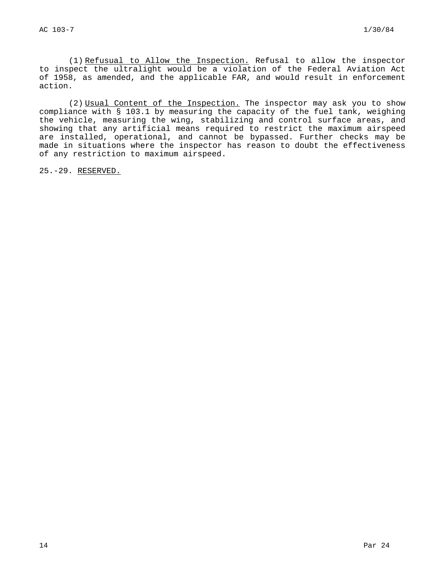(1) Refusual to Allow the Inspection. Refusal to allow the inspector to inspect the ultralight would be a violation of the Federal Aviation Act of 1958, as amended, and the applicable FAR, and would result in enforcement action.

(2) Usual Content of the Inspection. The inspector may ask you to show compliance with § 103.1 by measuring the capacity of the fuel tank, weighing the vehicle, measuring the wing, stabilizing and control surface areas, and showing that any artificial means required to restrict the maximum airspeed are installed, operational, and cannot be bypassed. Further checks may be made in situations where the inspector has reason to doubt the effectiveness of any restriction to maximum airspeed.

25.-29. RESERVED.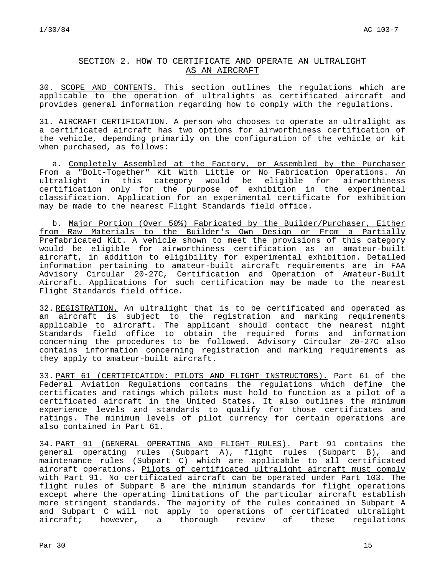## SECTION 2. HOW TO CERTIFICATE AND OPERATE AN ULTRALIGHT AS AN AIRCRAFT

30. SCOPE AND CONTENTS. This section outlines the regulations which are applicable to the operation of ultralights as certificated aircraft and provides general information regarding how to comply with the regulations.

31. AIRCRAFT CERTIFICATION. A person who chooses to operate an ultralight as a certificated aircraft has two options for airworthiness certification of the vehicle, depending primarily on the configuration of the vehicle or kit when purchased, as follows:

a. Completely Assembled at the Factory, or Assembled by the Purchaser From a "Bolt-Together" Kit With Little or No Fabrication Operations. An ultralight in this category would be eligible for airworthiness certification only for the purpose of exhibition in the experimental classification. Application for an experimental certificate for exhibition may be made to the nearest Flight Standards field office.

b. Major Portion (Over 50%) Fabricated by the Builder/Purchaser, Either from Raw Materials to the Builder's Own Design or From a Partially Prefabricated Kit. A vehicle shown to meet the provisions of this category would be eligible for airworthiness certification as an amateur-built aircraft, in addition to eligibility for experimental exhibition. Detailed information pertaining to amateur-built aircraft requirements are in FAA Advisory Circular 20-27C, Certification and Operation of Amateur-Built Aircraft. Applications for such certification may be made to the nearest Flight Standards field office.

32. REGISTRATION. An ultralight that is to be certificated and operated as an aircraft is subject to the registration and marking requirements applicable to aircraft. The applicant should contact the nearest night Standards field office to obtain the required forms and information concerning the procedures to be followed. Advisory Circular 20-27C also contains information concerning registration and marking requirements as they apply to amateur-built aircraft.

33. PART 61 (CERTIFICATION: PILOTS AND FLIGHT INSTRUCTORS). Part 61 of the Federal Aviation Regulations contains the regulations which define the certificates and ratings which pilots must hold to function as a pilot of a certificated aircraft in the United States. It also outlines the minimum experience levels and standards to qualify for those certificates and ratings. The minimum levels of pilot currency for certain operations are also contained in Part 61.

34. PART 91 (GENERAL OPERATING AND FLIGHT RULES). Part 91 contains the general operating rules (Subpart A), flight rules (Subpart B), and maintenance rules (Subpart C) which are applicable to all certificated aircraft operations. Pilots of certificated ultralight aircraft must comply with Part 91. No certificated aircraft can be operated under Part 103. The flight rules of Subpart B are the minimum standards for flight operations except where the operating limitations of the particular aircraft establish more stringent standards. The majority of the rules contained in Subpart A and Subpart C will not apply to operations of certificated ultralight aircraft; however, a thorough review of these regulations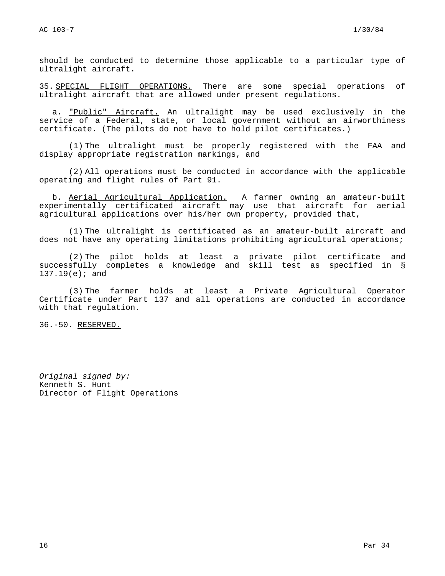should be conducted to determine those applicable to a particular type of ultralight aircraft.

35. SPECIAL FLIGHT OPERATIONS. There are some special operations of ultralight aircraft that are allowed under present regulations.

a. "Public" Aircraft. An ultralight may be used exclusively in the service of a Federal, state, or local government without an airworthiness certificate. (The pilots do not have to hold pilot certificates.)

(1) The ultralight must be properly registered with the FAA and display appropriate registration markings, and

(2) All operations must be conducted in accordance with the applicable operating and flight rules of Part 91.

b. Aerial Agricultural Application. A farmer owning an amateur-built experimentally certificated aircraft may use that aircraft for aerial agricultural applications over his/her own property, provided that,

(1) The ultralight is certificated as an amateur-built aircraft and does not have any operating limitations prohibiting agricultural operations;

(2) The pilot holds at least a private pilot certificate and successfully completes a knowledge and skill test as specified in § 137.19(e); and

(3) The farmer holds at least a Private Agricultural Operator Certificate under Part 137 and all operations are conducted in accordance with that regulation.

36.-50. RESERVED.

Original signed by: Kenneth S. Hunt Director of Flight Operations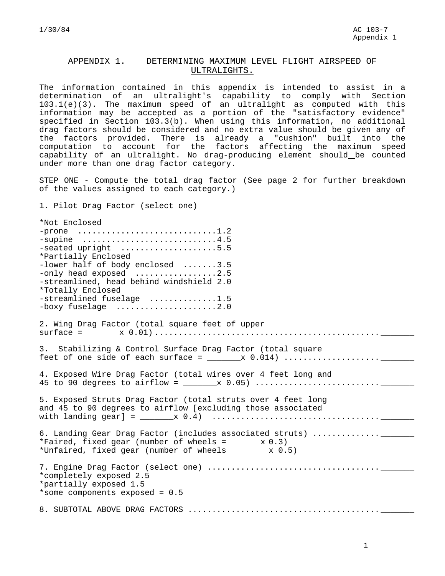## APPENDIX 1. DETERMINING MAXIMUM LEVEL FLIGHT AIRSPEED OF ULTRALIGHTS.

The information contained in this appendix is intended to assist in a determination of an ultralight's capability to comply with Section 103.1(e)(3). The maximum speed of an ultralight as computed with this information may be accepted as a portion of the "satisfactory evidence" specified in Section 103.3(b). When using this information, no additional drag factors should be considered and no extra value should be given any of the factors provided. There is already a "cushion" built into the computation to account for the factors affecting the maximum speed capability of an ultralight. No drag-producing element should be counted under more than one drag factor category.

STEP ONE - Compute the total drag factor (See page 2 for further breakdown of the values assigned to each category.)

1. Pilot Drag Factor (select one)

\*Not Enclosed -prone .............................1.2 -supine .............................4.5 -seated upright .....................5.5 \*Partially Enclosed -lower half of body enclosed .......3.5 -only head exposed .................2.5 -streamlined, head behind windshield 2.0 \*Totally Enclosed -streamlined fuselage ..............1.5 -boxy fuselage .......................2.0 2. Wing Drag Factor (total square feet of upper  $\text{surface} = \text{x } 0.01) \dots \dots \dots \dots \dots \dots \dots \dots \dots \dots \dots \dots \dots \dots \dots \dots \dots \dots$ 3. Stabilizing & Control Surface Drag Factor (total square feet of one side of each surface =  $\frac{x}{0.014}$  ..................... 4. Exposed Wire Drag Factor (total wires over 4 feet long and 45 to 90 degrees to airflow =  $\frac{1}{2}$   $\frac{1}{2}$   $\frac{1}{2}$   $\frac{1}{2}$   $\frac{1}{2}$   $\frac{1}{2}$   $\frac{1}{2}$   $\frac{1}{2}$   $\frac{1}{2}$   $\frac{1}{2}$   $\frac{1}{2}$   $\frac{1}{2}$   $\frac{1}{2}$   $\frac{1}{2}$   $\frac{1}{2}$   $\frac{1}{2}$   $\frac{1}{2}$   $\frac{1}{2}$   $\frac{1}{2}$  5. Exposed Struts Drag Factor (total struts over 4 feet long and 45 to 90 degrees to airflow [excluding those associated with landing  $year] =$  \_\_\_\_\_\_\_\_x 0.4)  $\dots\dots\dots\dots\dots\dots\dots\dots\dots\dots\dots\dots\dots\dots\dots\dots\dots$ 6. Landing Gear Drag Factor (includes associated struts) ................\_\_\_\_\_ \*Faired, fixed gear (number of wheels =  $x 0.3$ ) \*Unfaired, fixed gear (number of wheels x 0.5) 7. Engine Drag Factor (select one) .................................... \_\_\_\_\_\_\_ \*completely exposed 2.5 \*partially exposed 1.5 \*some components exposed = 0.5 8. SUBTOTAL ABOVE DRAG FACTORS ........................................ \_\_\_\_\_\_\_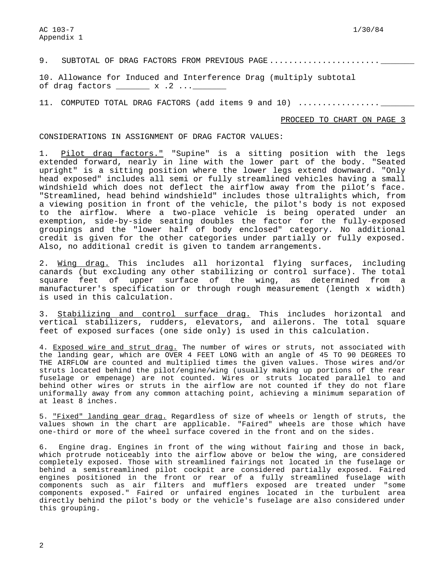9. SUBTOTAL OF DRAG FACTORS FROM PREVIOUS PAGE.........................

10. Allowance for Induced and Interference Drag (multiply subtotal of drag factors  $\frac{1}{2}$  x .2 ... $\frac{1}{2}$ 

11. COMPUTED TOTAL DRAG FACTORS (add items 9 and 10) ....................

PROCEED TO CHART ON PAGE 3

CONSIDERATIONS IN ASSIGNMENT OF DRAG FACTOR VALUES:

1. Pilot drag factors." "Supine" is a sitting position with the legs extended forward, nearly in line with the lower part of the body. "Seated upright" is a sitting position where the lower legs extend downward. "Only head exposed" includes all semi or fully streamlined vehicles having a small windshield which does not deflect the airflow away from the pilot's face. "Streamlined, head behind windshield" includes those ultralights which, from a viewing position in front of the vehicle, the pilot's body is not exposed to the airflow. Where a two-place vehicle is being operated under an exemption, side-by-side seating doubles the factor for the fully-exposed groupings and the "lower half of body enclosed" category. No additional credit is given for the other categories under partially or fully exposed. Also, no additional credit is given to tandem arrangements.

2. Wing drag. This includes all horizontal flying surfaces, including canards (but excluding any other stabilizing or control surface). The total square feet of upper surface of the wing, as determined from a manufacturer's specification or through rough measurement (length x width) is used in this calculation.

3. Stabilizing and control surface drag. This includes horizontal and vertical stabilizers, rudders, elevators, and ailerons. The total square feet of exposed surfaces (one side only) is used in this calculation.

4. Exposed wire and strut drag. The number of wires or struts, not associated with the landing gear, which are OVER 4 FEET LONG with an angle of 45 TO 90 DEGREES TO THE AIRFLOW are counted and multiplied times the given values. Those wires and/or struts located behind the pilot/engine/wing (usually making up portions of the rear fuselage or empenage) are not counted. Wires or struts located parallel to and behind other wires or struts in the airflow are not counted if they do not flare uniformally away from any common attaching point, achieving a minimum separation of at least 8 inches.

5. "Fixed" landing gear drag. Regardless of size of wheels or length of struts, the values shown in the chart are applicable. "Faired" wheels are those which have one-third or more of the wheel surface covered in the front and on the sides.

6. Engine drag. Engines in front of the wing without fairing and those in back, which protrude noticeably into the airflow above or below the wing, are considered completely exposed. Those with streamlined fairings not located in the fuselage or behind a semistreamlined pilot cockpit are considered partially exposed. Faired engines positioned in the front or rear of a fully streamlined fuselage with components such as air filters and mufflers exposed are treated under "some components exposed." Faired or unfaired engines located in the turbulent area directly behind the pilot's body or the vehicle's fuselage are also considered under this grouping.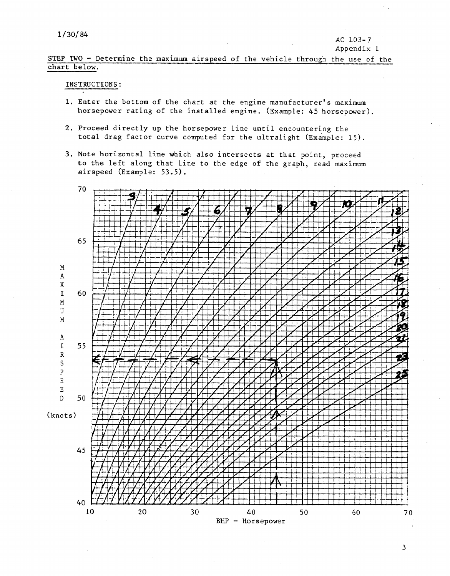STEP TWO - Determine the maximum airspeed of the vehicle through the use of the chart below.

## INSTRUCTIONS:

- 1. Enter the bottom of the chart at the engine manufacturer's maximum<br>horsepower rating of the installed engine. (Example: 45 horsepower).
- 2. Proceed directly up the horsepower line until encountering the total drag factor curve computed for the ultralight (Example: 15).
- 3. Note horizontal line which also intersects at that point, proceed to the left along that line to the edge of the graph, read maximum airspeed (Example: 53.5).

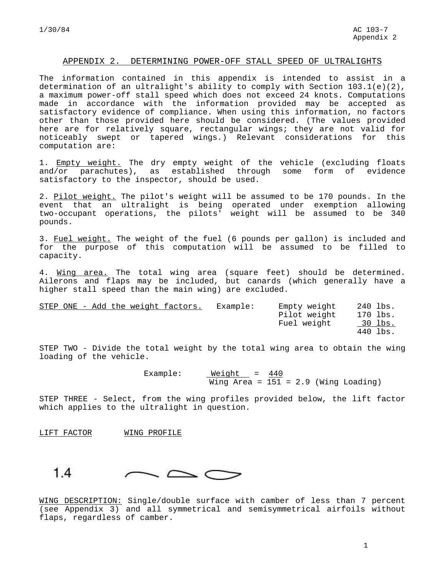#### APPENDIX 2. DETERMINING POWER-OFF STALL SPEED OF ULTRALIGHTS

The information contained in this appendix is intended to assist in a determination of an ultralight's ability to comply with Section 103.1(e)(2), a maximum power-off stall speed which does not exceed 24 knots. Computations made in accordance with the information provided may be accepted as satisfactory evidence of compliance. When using this information, no factors other than those provided here should be considered. (The values provided here are for relatively square, rectangular wings; they are not valid for noticeably swept or tapered wings.) Relevant considerations for this computation are:

1. Empty weight. The dry empty weight of the vehicle (excluding floats and/or parachutes), as established through some form of evidence satisfactory to the inspector, should be used.

2. Pilot weight. The pilot's weight will be assumed to be 170 pounds. In the event that an ultralight is being operated under exemption allowing two-occupant operations, the pilots' weight will be assumed to be 340 pounds.

3. Fuel weight. The weight of the fuel (6 pounds per gallon) is included and for the purpose of this computation will be assumed to be filled to capacity.

4. Wing area. The total wing area (square feet) should be determined. Ailerons and flaps may be included, but canards (which generally have a higher stall speed than the main wing) are excluded.

|  |  |  | STEP ONE - Add the weight factors. | Example: | Empty weight | 240 lbs. |
|--|--|--|------------------------------------|----------|--------------|----------|
|  |  |  |                                    |          | Pilot weight | 170 lbs. |
|  |  |  |                                    |          | Fuel weight  | 30 lbs.  |
|  |  |  |                                    |          |              | 440 lbs. |

STEP TWO - Divide the total weight by the total wing area to obtain the wing loading of the vehicle.

> Example: Weight = 440 Wing Area =  $151 = 2.9$  (Wing Loading)

STEP THREE - Select, from the wing profiles provided below, the lift factor which applies to the ultralight in question.

LIFT FACTOR WING PROFILE



WING DESCRIPTION: Single/double surface with camber of less than 7 percent (see Appendix 3) and all symmetrical and semisymmetrical airfoils without flaps, regardless of camber.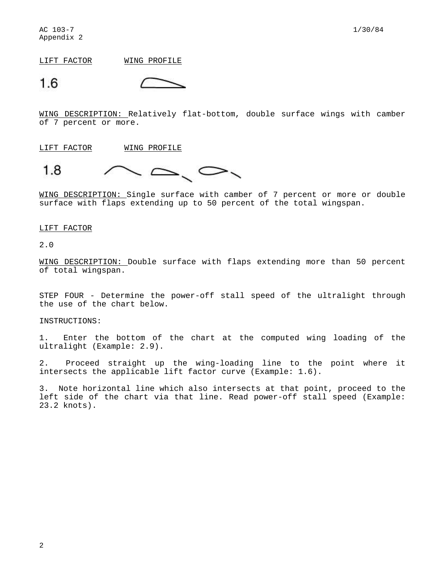LIFT FACTOR WING PROFILE

$$
1.6\qquad \qquad \subset
$$

WING DESCRIPTION: Relatively flat-bottom, double surface wings with camber of 7 percent or more.

LIFT FACTOR WING PROFILE



WING DESCRIPTION: Single surface with camber of 7 percent or more or double surface with flaps extending up to 50 percent of the total wingspan.

#### LIFT FACTOR

2.0

WING DESCRIPTION: Double surface with flaps extending more than 50 percent of total wingspan.

STEP FOUR - Determine the power-off stall speed of the ultralight through the use of the chart below.

INSTRUCTIONS:

1. Enter the bottom of the chart at the computed wing loading of the ultralight (Example: 2.9).

2. Proceed straight up the wing-loading line to the point where it intersects the applicable lift factor curve (Example: 1.6).

3. Note horizontal line which also intersects at that point, proceed to the left side of the chart via that line. Read power-off stall speed (Example: 23.2 knots).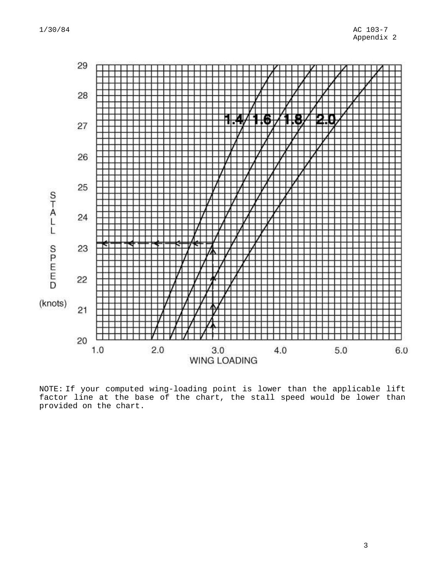

NOTE: If your computed wing-loading point is lower than the applicable lift factor line at the base of the chart, the stall speed would be lower than provided on the chart.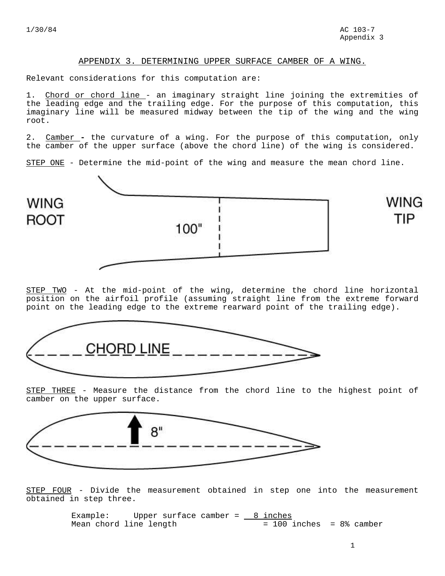#### APPENDIX 3. DETERMINING UPPER SURFACE CAMBER OF A WING.

Relevant considerations for this computation are:

1. Chord or chord line - an imaginary straight line joining the extremities of the leading edge and the trailing edge. For the purpose of this computation, this imaginary line will be measured midway between the tip of the wing and the wing root.

2. Camber **-** the curvature of a wing. For the purpose of this computation, only the camber of the upper surface (above the chord line) of the wing is considered.

STEP ONE - Determine the mid-point of the wing and measure the mean chord line.



STEP TWO - At the mid-point of the wing, determine the chord line horizontal position on the airfoil profile (assuming straight line from the extreme forward point on the leading edge to the extreme rearward point of the trailing edge).



STEP THREE - Measure the distance from the chord line to the highest point of camber on the upper surface.



STEP FOUR - Divide the measurement obtained in step one into the measurement obtained in step three.

> Example: Upper surface camber =  $8$  inches  $Mean$  chord line length  $= 100$  inches = 8% camber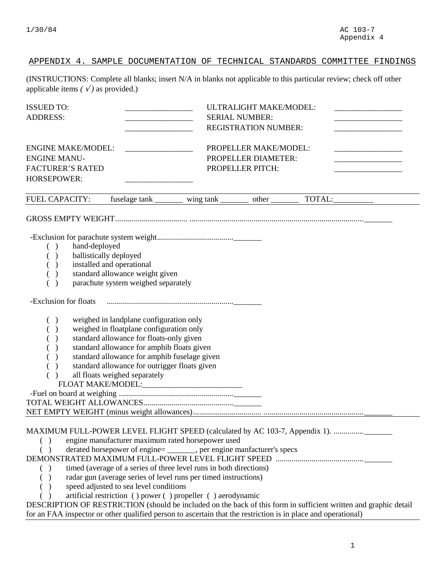# APPENDIX 4. SAMPLE DOCUMENTATION OF TECHNICAL STANDARDS COMMITTEE FINDINGS

(INSTRUCTIONS: Complete all blanks; insert N/A in blanks not applicable to this particular review; check off other applicable items  $( \sqrt{ } )$  as provided.)

| <b>ISSUED TO:</b><br><b>ADDRESS:</b>                                                                                                     |                                                                                                                                                                                                                                                                                                                 |                                                                                                                                                                                                                                                                                                                                         | ULTRALIGHT MAKE/MODEL:<br><b>SERIAL NUMBER:</b><br><b>REGISTRATION NUMBER:</b> |                                                                                                                  |  |  |  |
|------------------------------------------------------------------------------------------------------------------------------------------|-----------------------------------------------------------------------------------------------------------------------------------------------------------------------------------------------------------------------------------------------------------------------------------------------------------------|-----------------------------------------------------------------------------------------------------------------------------------------------------------------------------------------------------------------------------------------------------------------------------------------------------------------------------------------|--------------------------------------------------------------------------------|------------------------------------------------------------------------------------------------------------------|--|--|--|
| <b>ENGINE MAKE/MODEL:</b><br><b>ENGINE MANU-</b><br><b>FACTURER'S RATED</b><br><b>HORSEPOWER:</b>                                        |                                                                                                                                                                                                                                                                                                                 |                                                                                                                                                                                                                                                                                                                                         | PROPELLER MAKE/MODEL:<br>PROPELLER DIAMETER:<br>PROPELLER PITCH:               |                                                                                                                  |  |  |  |
| <b>FUEL CAPACITY:</b>                                                                                                                    | fuselage tank _________                                                                                                                                                                                                                                                                                         |                                                                                                                                                                                                                                                                                                                                         | other                                                                          | TOTAL:                                                                                                           |  |  |  |
| hand-deployed<br>( )<br>ballistically deployed<br>$\rightarrow$<br>$\rightarrow$<br>$\mathcal{E}$                                        | installed and operational<br>standard allowance weight given<br>parachute system weighed separately                                                                                                                                                                                                             |                                                                                                                                                                                                                                                                                                                                         |                                                                                |                                                                                                                  |  |  |  |
| -Exclusion for floats<br>( )<br>$\rightarrow$<br>$\lambda$<br>$\lambda$                                                                  | weighed in landplane configuration only<br>weighed in floatplane configuration only<br>standard allowance for floats-only given<br>standard allowance for amphib floats given<br>standard allowance for amphib fuselage given<br>standard allowance for outrigger floats given<br>all floats weighed separately | FLOAT MAKE/MODEL:_________________________                                                                                                                                                                                                                                                                                              |                                                                                |                                                                                                                  |  |  |  |
| $\lambda$<br>( )<br>( )<br>for an FAA inspector or other qualified person to ascertain that the restriction is in place and operational) | speed adjusted to sea level conditions                                                                                                                                                                                                                                                                          | engine manufacturer maximum rated horsepower used<br>derated horsepower of engine=<br>_________, per engine manfacturer's specs<br>timed (average of a series of three level runs in both directions)<br>radar gun (average series of level runs per timed instructions)<br>artificial restriction () power () propeller () aerodynamic |                                                                                | DESCRIPTION OF RESTRICTION (should be included on the back of this form in sufficient written and graphic detail |  |  |  |